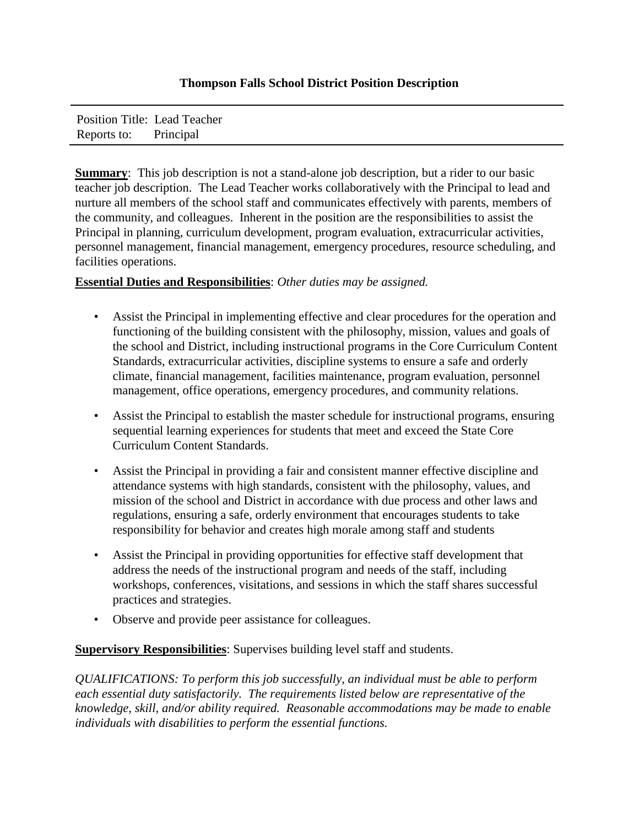## **Thompson Falls School District Position Description**

Position Title: Lead Teacher Reports to: Principal

**Summary**: This job description is not a stand-alone job description, but a rider to our basic teacher job description. The Lead Teacher works collaboratively with the Principal to lead and nurture all members of the school staff and communicates effectively with parents, members of the community, and colleagues. Inherent in the position are the responsibilities to assist the Principal in planning, curriculum development, program evaluation, extracurricular activities, personnel management, financial management, emergency procedures, resource scheduling, and facilities operations.

## **Essential Duties and Responsibilities**: *Other duties may be assigned.*

- Assist the Principal in implementing effective and clear procedures for the operation and functioning of the building consistent with the philosophy, mission, values and goals of the school and District, including instructional programs in the Core Curriculum Content Standards, extracurricular activities, discipline systems to ensure a safe and orderly climate, financial management, facilities maintenance, program evaluation, personnel management, office operations, emergency procedures, and community relations.
- Assist the Principal to establish the master schedule for instructional programs, ensuring sequential learning experiences for students that meet and exceed the State Core Curriculum Content Standards.
- Assist the Principal in providing a fair and consistent manner effective discipline and attendance systems with high standards, consistent with the philosophy, values, and mission of the school and District in accordance with due process and other laws and regulations, ensuring a safe, orderly environment that encourages students to take responsibility for behavior and creates high morale among staff and students
- Assist the Principal in providing opportunities for effective staff development that address the needs of the instructional program and needs of the staff, including workshops, conferences, visitations, and sessions in which the staff shares successful practices and strategies.
- Observe and provide peer assistance for colleagues.

**Supervisory Responsibilities**: Supervises building level staff and students.

*QUALIFICATIONS: To perform this job successfully, an individual must be able to perform each essential duty satisfactorily. The requirements listed below are representative of the knowledge, skill, and/or ability required. Reasonable accommodations may be made to enable individuals with disabilities to perform the essential functions.*